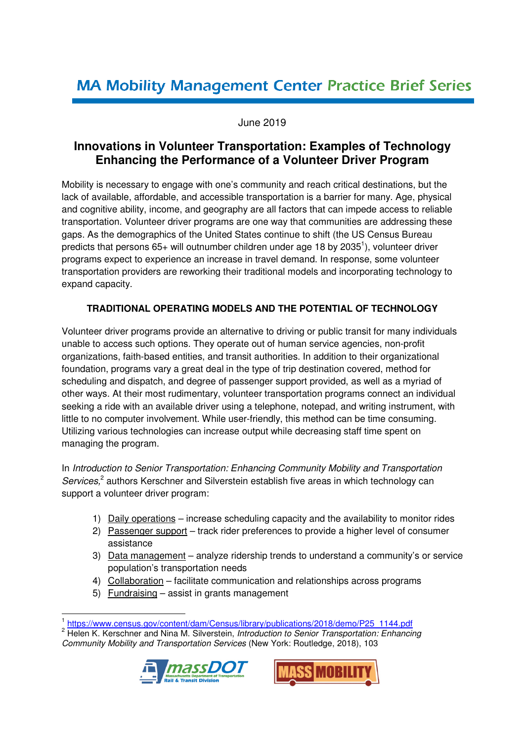# **MA Mobility Management Center Practice Brief Series**

### June 2019

## **Innovations in Volunteer Transportation: Examples of Technology Enhancing the Performance of a Volunteer Driver Program**

Mobility is necessary to engage with one's community and reach critical destinations, but the lack of available, affordable, and accessible transportation is a barrier for many. Age, physical and cognitive ability, income, and geography are all factors that can impede access to reliable transportation. Volunteer driver programs are one way that communities are addressing these gaps. As the demographics of the United States continue to shift (the US Census Bureau predicts that persons  $65+$  will outnumber children under age 18 by 2035<sup>1</sup>), volunteer driver programs expect to experience an increase in travel demand. In response, some volunteer transportation providers are reworking their traditional models and incorporating technology to expand capacity.

### **TRADITIONAL OPERATING MODELS AND THE POTENTIAL OF TECHNOLOGY**

Volunteer driver programs provide an alternative to driving or public transit for many individuals unable to access such options. They operate out of human service agencies, non-profit organizations, faith-based entities, and transit authorities. In addition to their organizational foundation, programs vary a great deal in the type of trip destination covered, method for scheduling and dispatch, and degree of passenger support provided, as well as a myriad of other ways. At their most rudimentary, volunteer transportation programs connect an individual seeking a ride with an available driver using a telephone, notepad, and writing instrument, with little to no computer involvement. While user-friendly, this method can be time consuming. Utilizing various technologies can increase output while decreasing staff time spent on managing the program.

In *Introduction to Senior Transportation: Enhancing Community Mobility and Transportation*  Services,<sup>2</sup> authors Kerschner and Silverstein establish five areas in which technology can support a volunteer driver program:

- 1) Daily operations increase scheduling capacity and the availability to monitor rides
- 2) Passenger support track rider preferences to provide a higher level of consumer assistance
- 3) Data management analyze ridership trends to understand a community's or service population's transportation needs
- 4) Collaboration facilitate communication and relationships across programs
- 5) Fundraising assist in grants management

 $\overline{a}$ 

<sup>2</sup> Helen K. Kerschner and Nina M. Silverstein, *Introduction to Senior Transportation: Enhancing Community Mobility and Transportation Services* (New York: Routledge, 2018), 103





<sup>1</sup> https://www.census.gov/content/dam/Census/library/publications/2018/demo/P25\_1144.pdf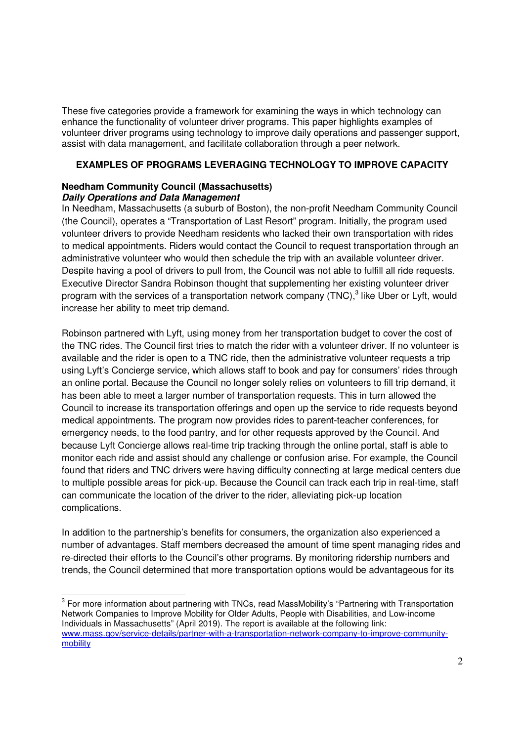These five categories provide a framework for examining the ways in which technology can enhance the functionality of volunteer driver programs. This paper highlights examples of volunteer driver programs using technology to improve daily operations and passenger support, assist with data management, and facilitate collaboration through a peer network.

#### **EXAMPLES OF PROGRAMS LEVERAGING TECHNOLOGY TO IMPROVE CAPACITY**

#### **Needham Community Council (Massachusetts) Daily Operations and Data Management**

 $\overline{a}$ 

In Needham, Massachusetts (a suburb of Boston), the non-profit Needham Community Council (the Council), operates a "Transportation of Last Resort" program. Initially, the program used volunteer drivers to provide Needham residents who lacked their own transportation with rides to medical appointments. Riders would contact the Council to request transportation through an administrative volunteer who would then schedule the trip with an available volunteer driver. Despite having a pool of drivers to pull from, the Council was not able to fulfill all ride requests. Executive Director Sandra Robinson thought that supplementing her existing volunteer driver program with the services of a transportation network company (TNC),<sup>3</sup> like Uber or Lyft, would increase her ability to meet trip demand.

Robinson partnered with Lyft, using money from her transportation budget to cover the cost of the TNC rides. The Council first tries to match the rider with a volunteer driver. If no volunteer is available and the rider is open to a TNC ride, then the administrative volunteer requests a trip using Lyft's Concierge service, which allows staff to book and pay for consumers' rides through an online portal. Because the Council no longer solely relies on volunteers to fill trip demand, it has been able to meet a larger number of transportation requests. This in turn allowed the Council to increase its transportation offerings and open up the service to ride requests beyond medical appointments. The program now provides rides to parent-teacher conferences, for emergency needs, to the food pantry, and for other requests approved by the Council. And because Lyft Concierge allows real-time trip tracking through the online portal, staff is able to monitor each ride and assist should any challenge or confusion arise. For example, the Council found that riders and TNC drivers were having difficulty connecting at large medical centers due to multiple possible areas for pick-up. Because the Council can track each trip in real-time, staff can communicate the location of the driver to the rider, alleviating pick-up location complications.

In addition to the partnership's benefits for consumers, the organization also experienced a number of advantages. Staff members decreased the amount of time spent managing rides and re-directed their efforts to the Council's other programs. By monitoring ridership numbers and trends, the Council determined that more transportation options would be advantageous for its

 $3$  For more information about partnering with TNCs, read MassMobility's "Partnering with Transportation Network Companies to Improve Mobility for Older Adults, People with Disabilities, and Low-income Individuals in Massachusetts" (April 2019). The report is available at the following link: www.mass.gov/service-details/partner-with-a-transportation-network-company-to-improve-communitymobility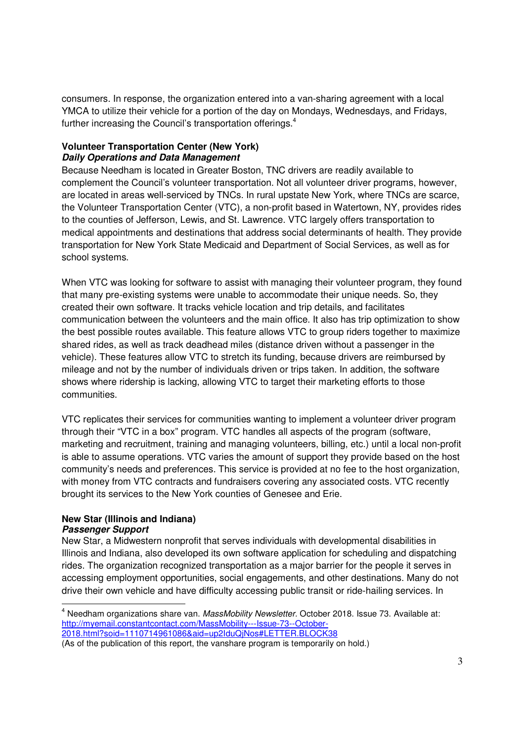consumers. In response, the organization entered into a van-sharing agreement with a local YMCA to utilize their vehicle for a portion of the day on Mondays, Wednesdays, and Fridays, further increasing the Council's transportation offerings.<sup>4</sup>

#### **Volunteer Transportation Center (New York) Daily Operations and Data Management**

Because Needham is located in Greater Boston, TNC drivers are readily available to complement the Council's volunteer transportation. Not all volunteer driver programs, however, are located in areas well-serviced by TNCs. In rural upstate New York, where TNCs are scarce, the Volunteer Transportation Center (VTC), a non-profit based in Watertown, NY, provides rides to the counties of Jefferson, Lewis, and St. Lawrence. VTC largely offers transportation to medical appointments and destinations that address social determinants of health. They provide transportation for New York State Medicaid and Department of Social Services, as well as for school systems.

When VTC was looking for software to assist with managing their volunteer program, they found that many pre-existing systems were unable to accommodate their unique needs. So, they created their own software. It tracks vehicle location and trip details, and facilitates communication between the volunteers and the main office. It also has trip optimization to show the best possible routes available. This feature allows VTC to group riders together to maximize shared rides, as well as track deadhead miles (distance driven without a passenger in the vehicle). These features allow VTC to stretch its funding, because drivers are reimbursed by mileage and not by the number of individuals driven or trips taken. In addition, the software shows where ridership is lacking, allowing VTC to target their marketing efforts to those communities.

VTC replicates their services for communities wanting to implement a volunteer driver program through their "VTC in a box" program. VTC handles all aspects of the program (software, marketing and recruitment, training and managing volunteers, billing, etc.) until a local non-profit is able to assume operations. VTC varies the amount of support they provide based on the host community's needs and preferences. This service is provided at no fee to the host organization, with money from VTC contracts and fundraisers covering any associated costs. VTC recently brought its services to the New York counties of Genesee and Erie.

#### **New Star (Illinois and Indiana) Passenger Support**

 $\overline{a}$ 

New Star, a Midwestern nonprofit that serves individuals with developmental disabilities in Illinois and Indiana, also developed its own software application for scheduling and dispatching rides. The organization recognized transportation as a major barrier for the people it serves in accessing employment opportunities, social engagements, and other destinations. Many do not drive their own vehicle and have difficulty accessing public transit or ride-hailing services. In

<sup>4</sup> Needham organizations share van. *MassMobility Newsletter.* October 2018. Issue 73. Available at: http://myemail.constantcontact.com/MassMobility---Issue-73--October-2018.html?soid=1110714961086&aid=up2IduQjNos#LETTER.BLOCK38

<sup>(</sup>As of the publication of this report, the vanshare program is temporarily on hold.)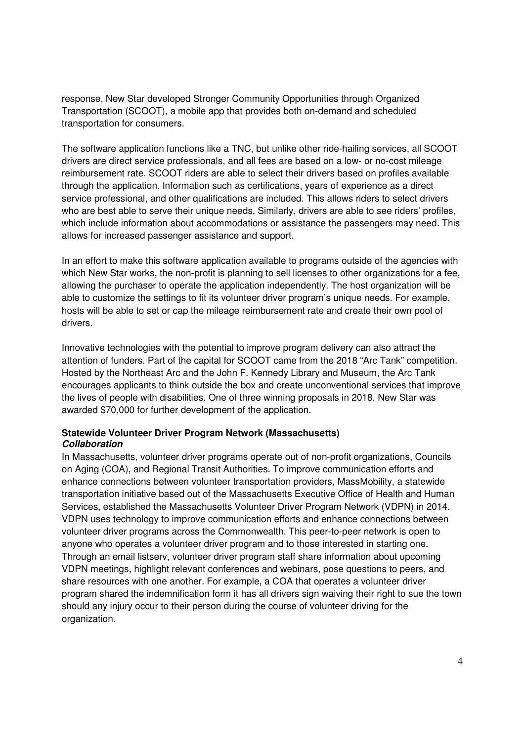response, New Star developed Stronger Community Opportunities through Organized Transportation (SCOOT), a mobile app that provides both on-demand and scheduled transportation for consumers.

The software application functions like a TNC, but unlike other ride-hailing services, all SCOOT drivers are direct service professionals, and all fees are based on a low- or no-cost mileage reimbursement rate. SCOOT riders are able to select their drivers based on profiles available through the application. Information such as certifications, years of experience as a direct service professional, and other qualifications are included. This allows riders to select drivers who are best able to serve their unique needs. Similarly, drivers are able to see riders' profiles, which include information about accommodations or assistance the passengers may need. This allows for increased passenger assistance and support.

In an effort to make this software application available to programs outside of the agencies with which New Star works, the non-profit is planning to sell licenses to other organizations for a fee, allowing the purchaser to operate the application independently. The host organization will be able to customize the settings to fit its volunteer driver program's unique needs. For example, hosts will be able to set or cap the mileage reimbursement rate and create their own pool of drivers.

Innovative technologies with the potential to improve program delivery can also attract the attention of funders. Part of the capital for SCOOT came from the 2018 "Arc Tank" competition. Hosted by the Northeast Arc and the John F. Kennedy Library and Museum, the Arc Tank encourages applicants to think outside the box and create unconventional services that improve the lives of people with disabilities. One of three winning proposals in 2018, New Star was awarded \$70,000 for further development of the application.

#### **Statewide Volunteer Driver Program Network (Massachusetts) Collaboration**

In Massachusetts, volunteer driver programs operate out of non-profit organizations, Councils on Aging (COA), and Regional Transit Authorities. To improve communication efforts and enhance connections between volunteer transportation providers, MassMobility, a statewide transportation initiative based out of the Massachusetts Executive Office of Health and Human Services, established the Massachusetts Volunteer Driver Program Network (VDPN) in 2014. VDPN uses technology to improve communication efforts and enhance connections between volunteer driver programs across the Commonwealth. This peer-to-peer network is open to anyone who operates a volunteer driver program and to those interested in starting one. Through an email listserv, volunteer driver program staff share information about upcoming VDPN meetings, highlight relevant conferences and webinars, pose questions to peers, and share resources with one another. For example, a COA that operates a volunteer driver program shared the indemnification form it has all drivers sign waiving their right to sue the town should any injury occur to their person during the course of volunteer driving for the organization.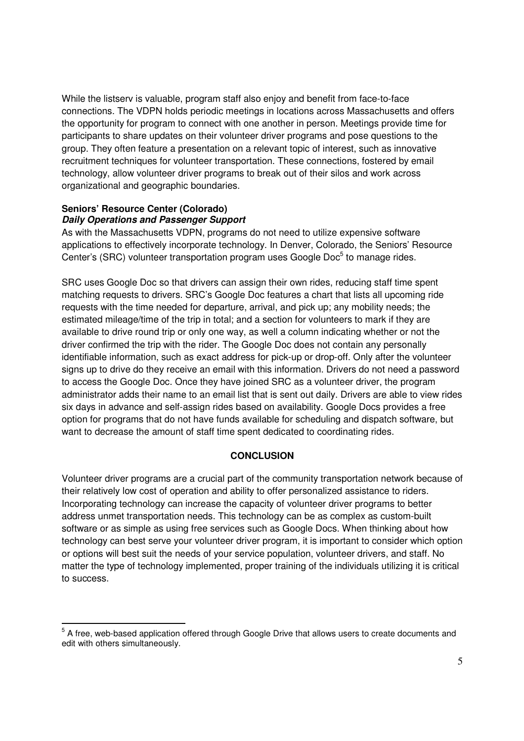While the listserv is valuable, program staff also enjoy and benefit from face-to-face connections. The VDPN holds periodic meetings in locations across Massachusetts and offers the opportunity for program to connect with one another in person. Meetings provide time for participants to share updates on their volunteer driver programs and pose questions to the group. They often feature a presentation on a relevant topic of interest, such as innovative recruitment techniques for volunteer transportation. These connections, fostered by email technology, allow volunteer driver programs to break out of their silos and work across organizational and geographic boundaries.

#### **Seniors' Resource Center (Colorado) Daily Operations and Passenger Support**

 $\overline{a}$ 

As with the Massachusetts VDPN, programs do not need to utilize expensive software applications to effectively incorporate technology. In Denver, Colorado, the Seniors' Resource Center's (SRC) volunteer transportation program uses Google Doc<sup>5</sup> to manage rides.

SRC uses Google Doc so that drivers can assign their own rides, reducing staff time spent matching requests to drivers. SRC's Google Doc features a chart that lists all upcoming ride requests with the time needed for departure, arrival, and pick up; any mobility needs; the estimated mileage/time of the trip in total; and a section for volunteers to mark if they are available to drive round trip or only one way, as well a column indicating whether or not the driver confirmed the trip with the rider. The Google Doc does not contain any personally identifiable information, such as exact address for pick-up or drop-off. Only after the volunteer signs up to drive do they receive an email with this information. Drivers do not need a password to access the Google Doc. Once they have joined SRC as a volunteer driver, the program administrator adds their name to an email list that is sent out daily. Drivers are able to view rides six days in advance and self-assign rides based on availability. Google Docs provides a free option for programs that do not have funds available for scheduling and dispatch software, but want to decrease the amount of staff time spent dedicated to coordinating rides.

#### **CONCLUSION**

Volunteer driver programs are a crucial part of the community transportation network because of their relatively low cost of operation and ability to offer personalized assistance to riders. Incorporating technology can increase the capacity of volunteer driver programs to better address unmet transportation needs. This technology can be as complex as custom-built software or as simple as using free services such as Google Docs. When thinking about how technology can best serve your volunteer driver program, it is important to consider which option or options will best suit the needs of your service population, volunteer drivers, and staff. No matter the type of technology implemented, proper training of the individuals utilizing it is critical to success.

 $5$  A free, web-based application offered through Google Drive that allows users to create documents and edit with others simultaneously.